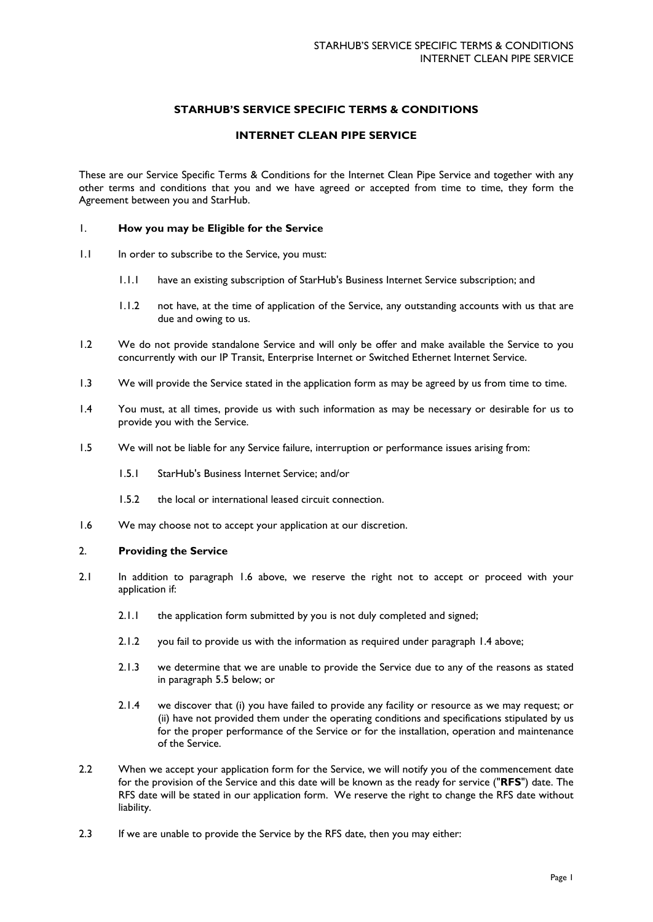# **STARHUB'S SERVICE SPECIFIC TERMS & CONDITIONS**

# **INTERNET CLEAN PIPE SERVICE**

These are our Service Specific Terms & Conditions for the Internet Clean Pipe Service and together with any other terms and conditions that you and we have agreed or accepted from time to time, they form the Agreement between you and StarHub.

### 1. **How you may be Eligible for the Service**

- 1.1 In order to subscribe to the Service, you must:
	- 1.1.1 have an existing subscription of StarHub's Business Internet Service subscription; and
	- 1.1.2 not have, at the time of application of the Service, any outstanding accounts with us that are due and owing to us.
- 1.2 We do not provide standalone Service and will only be offer and make available the Service to you concurrently with our IP Transit, Enterprise Internet or Switched Ethernet Internet Service.
- 1.3 We will provide the Service stated in the application form as may be agreed by us from time to time.
- 1.4 You must, at all times, provide us with such information as may be necessary or desirable for us to provide you with the Service.
- 1.5 We will not be liable for any Service failure, interruption or performance issues arising from:
	- 1.5.1 StarHub's Business Internet Service; and/or
	- 1.5.2 the local or international leased circuit connection.
- 1.6 We may choose not to accept your application at our discretion.

## 2. **Providing the Service**

- 2.1 In addition to paragraph 1.6 above, we reserve the right not to accept or proceed with your application if:
	- 2.1.1 the application form submitted by you is not duly completed and signed;
	- 2.1.2 you fail to provide us with the information as required under paragraph 1.4 above;
	- 2.1.3 we determine that we are unable to provide the Service due to any of the reasons as stated in paragraph 5.5 below; or
	- 2.1.4 we discover that (i) you have failed to provide any facility or resource as we may request; or (ii) have not provided them under the operating conditions and specifications stipulated by us for the proper performance of the Service or for the installation, operation and maintenance of the Service.
- 2.2 When we accept your application form for the Service, we will notify you of the commencement date for the provision of the Service and this date will be known as the ready for service ("**RFS**") date. The RFS date will be stated in our application form. We reserve the right to change the RFS date without liability.
- 2.3 If we are unable to provide the Service by the RFS date, then you may either: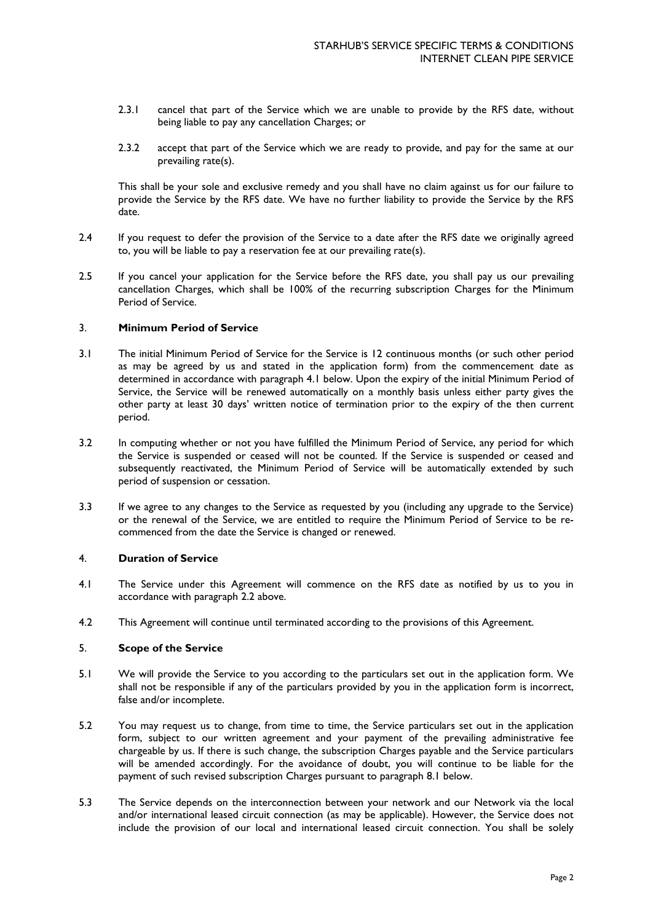- 2.3.1 cancel that part of the Service which we are unable to provide by the RFS date, without being liable to pay any cancellation Charges; or
- 2.3.2 accept that part of the Service which we are ready to provide, and pay for the same at our prevailing rate(s).

This shall be your sole and exclusive remedy and you shall have no claim against us for our failure to provide the Service by the RFS date. We have no further liability to provide the Service by the RFS date.

- 2.4 If you request to defer the provision of the Service to a date after the RFS date we originally agreed to, you will be liable to pay a reservation fee at our prevailing rate(s).
- 2.5 If you cancel your application for the Service before the RFS date, you shall pay us our prevailing cancellation Charges, which shall be 100% of the recurring subscription Charges for the Minimum Period of Service.

## 3. **Minimum Period of Service**

- 3.1 The initial Minimum Period of Service for the Service is 12 continuous months (or such other period as may be agreed by us and stated in the application form) from the commencement date as determined in accordance with paragraph 4.1 below. Upon the expiry of the initial Minimum Period of Service, the Service will be renewed automatically on a monthly basis unless either party gives the other party at least 30 days' written notice of termination prior to the expiry of the then current period.
- 3.2 In computing whether or not you have fulfilled the Minimum Period of Service, any period for which the Service is suspended or ceased will not be counted. If the Service is suspended or ceased and subsequently reactivated, the Minimum Period of Service will be automatically extended by such period of suspension or cessation.
- 3.3 If we agree to any changes to the Service as requested by you (including any upgrade to the Service) or the renewal of the Service, we are entitled to require the Minimum Period of Service to be recommenced from the date the Service is changed or renewed.

# 4. **Duration of Service**

- 4.1 The Service under this Agreement will commence on the RFS date as notified by us to you in accordance with paragraph 2.2 above.
- 4.2 This Agreement will continue until terminated according to the provisions of this Agreement.

#### 5. **Scope of the Service**

- 5.1 We will provide the Service to you according to the particulars set out in the application form. We shall not be responsible if any of the particulars provided by you in the application form is incorrect, false and/or incomplete.
- 5.2 You may request us to change, from time to time, the Service particulars set out in the application form, subject to our written agreement and your payment of the prevailing administrative fee chargeable by us. If there is such change, the subscription Charges payable and the Service particulars will be amended accordingly. For the avoidance of doubt, you will continue to be liable for the payment of such revised subscription Charges pursuant to paragraph 8.1 below.
- 5.3 The Service depends on the interconnection between your network and our Network via the local and/or international leased circuit connection (as may be applicable). However, the Service does not include the provision of our local and international leased circuit connection. You shall be solely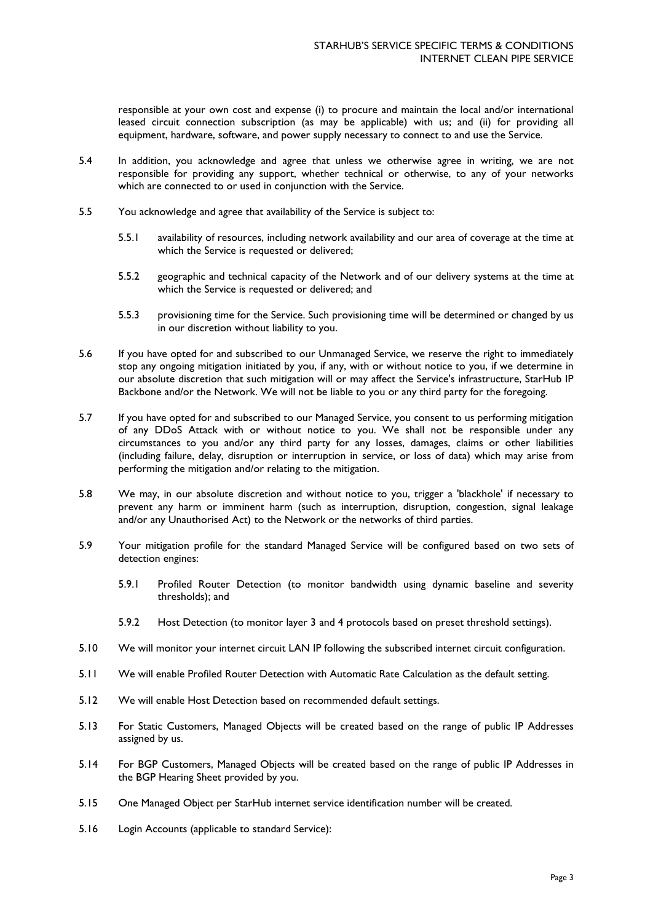responsible at your own cost and expense (i) to procure and maintain the local and/or international leased circuit connection subscription (as may be applicable) with us; and (ii) for providing all equipment, hardware, software, and power supply necessary to connect to and use the Service.

- 5.4 In addition, you acknowledge and agree that unless we otherwise agree in writing, we are not responsible for providing any support, whether technical or otherwise, to any of your networks which are connected to or used in conjunction with the Service.
- 5.5 You acknowledge and agree that availability of the Service is subject to:
	- 5.5.1 availability of resources, including network availability and our area of coverage at the time at which the Service is requested or delivered;
	- 5.5.2 geographic and technical capacity of the Network and of our delivery systems at the time at which the Service is requested or delivered; and
	- 5.5.3 provisioning time for the Service. Such provisioning time will be determined or changed by us in our discretion without liability to you.
- 5.6 If you have opted for and subscribed to our Unmanaged Service, we reserve the right to immediately stop any ongoing mitigation initiated by you, if any, with or without notice to you, if we determine in our absolute discretion that such mitigation will or may affect the Service's infrastructure, StarHub IP Backbone and/or the Network. We will not be liable to you or any third party for the foregoing.
- 5.7 If you have opted for and subscribed to our Managed Service, you consent to us performing mitigation of any DDoS Attack with or without notice to you. We shall not be responsible under any circumstances to you and/or any third party for any losses, damages, claims or other liabilities (including failure, delay, disruption or interruption in service, or loss of data) which may arise from performing the mitigation and/or relating to the mitigation.
- 5.8 We may, in our absolute discretion and without notice to you, trigger a 'blackhole' if necessary to prevent any harm or imminent harm (such as interruption, disruption, congestion, signal leakage and/or any Unauthorised Act) to the Network or the networks of third parties.
- 5.9 Your mitigation profile for the standard Managed Service will be configured based on two sets of detection engines:
	- 5.9.1 Profiled Router Detection (to monitor bandwidth using dynamic baseline and severity thresholds); and
	- 5.9.2 Host Detection (to monitor layer 3 and 4 protocols based on preset threshold settings).
- 5.10 We will monitor your internet circuit LAN IP following the subscribed internet circuit configuration.
- 5.11 We will enable Profiled Router Detection with Automatic Rate Calculation as the default setting.
- 5.12 We will enable Host Detection based on recommended default settings.
- 5.13 For Static Customers, Managed Objects will be created based on the range of public IP Addresses assigned by us.
- 5.14 For BGP Customers, Managed Objects will be created based on the range of public IP Addresses in the BGP Hearing Sheet provided by you.
- 5.15 One Managed Object per StarHub internet service identification number will be created.
- 5.16 Login Accounts (applicable to standard Service):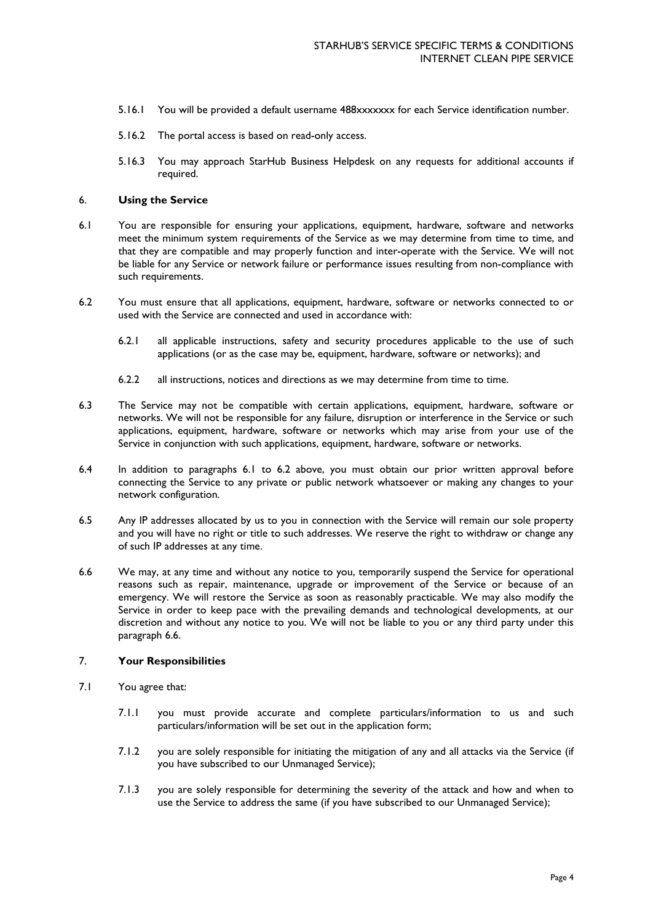- 5.16.1 You will be provided a default username 488xxxxxxx for each Service identification number.
- 5.16.2 The portal access is based on read-only access.
- 5.16.3 You may approach StarHub Business Helpdesk on any requests for additional accounts if required.

### 6. **Using the Service**

- 6.1 You are responsible for ensuring your applications, equipment, hardware, software and networks meet the minimum system requirements of the Service as we may determine from time to time, and that they are compatible and may properly function and inter-operate with the Service. We will not be liable for any Service or network failure or performance issues resulting from non-compliance with such requirements.
- 6.2 You must ensure that all applications, equipment, hardware, software or networks connected to or used with the Service are connected and used in accordance with:
	- 6.2.1 all applicable instructions, safety and security procedures applicable to the use of such applications (or as the case may be, equipment, hardware, software or networks); and
	- 6.2.2 all instructions, notices and directions as we may determine from time to time.
- 6.3 The Service may not be compatible with certain applications, equipment, hardware, software or networks. We will not be responsible for any failure, disruption or interference in the Service or such applications, equipment, hardware, software or networks which may arise from your use of the Service in conjunction with such applications, equipment, hardware, software or networks.
- 6.4 In addition to paragraphs 6.1 to 6.2 above, you must obtain our prior written approval before connecting the Service to any private or public network whatsoever or making any changes to your network configuration.
- 6.5 Any IP addresses allocated by us to you in connection with the Service will remain our sole property and you will have no right or title to such addresses. We reserve the right to withdraw or change any of such IP addresses at any time.
- 6.6 We may, at any time and without any notice to you, temporarily suspend the Service for operational reasons such as repair, maintenance, upgrade or improvement of the Service or because of an emergency. We will restore the Service as soon as reasonably practicable. We may also modify the Service in order to keep pace with the prevailing demands and technological developments, at our discretion and without any notice to you. We will not be liable to you or any third party under this paragraph 6.6.

### 7. **Your Responsibilities**

- 7.1 You agree that:
	- 7.1.1 you must provide accurate and complete particulars/information to us and such particulars/information will be set out in the application form;
	- 7.1.2 you are solely responsible for initiating the mitigation of any and all attacks via the Service (if you have subscribed to our Unmanaged Service);
	- 7.1.3 you are solely responsible for determining the severity of the attack and how and when to use the Service to address the same (if you have subscribed to our Unmanaged Service);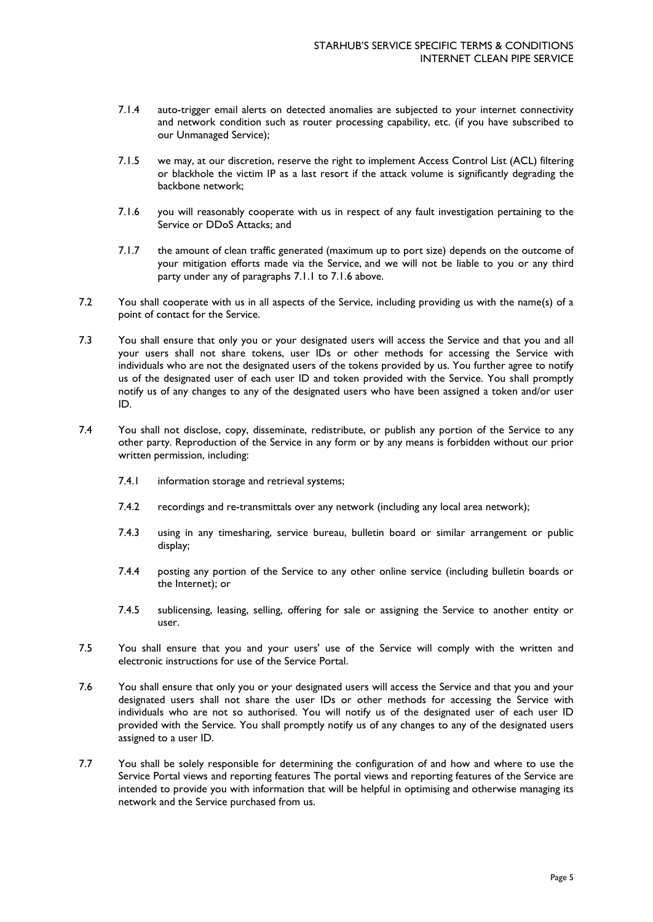- 7.1.4 auto-trigger email alerts on detected anomalies are subjected to your internet connectivity and network condition such as router processing capability, etc. (if you have subscribed to our Unmanaged Service);
- 7.1.5 we may, at our discretion, reserve the right to implement Access Control List (ACL) filtering or blackhole the victim IP as a last resort if the attack volume is significantly degrading the backbone network;
- 7.1.6 you will reasonably cooperate with us in respect of any fault investigation pertaining to the Service or DDoS Attacks; and
- 7.1.7 the amount of clean traffic generated (maximum up to port size) depends on the outcome of your mitigation efforts made via the Service, and we will not be liable to you or any third party under any of paragraphs 7.1.1 to 7.1.6 above.
- 7.2 You shall cooperate with us in all aspects of the Service, including providing us with the name(s) of a point of contact for the Service.
- 7.3 You shall ensure that only you or your designated users will access the Service and that you and all your users shall not share tokens, user IDs or other methods for accessing the Service with individuals who are not the designated users of the tokens provided by us. You further agree to notify us of the designated user of each user ID and token provided with the Service. You shall promptly notify us of any changes to any of the designated users who have been assigned a token and/or user ID.
- 7.4 You shall not disclose, copy, disseminate, redistribute, or publish any portion of the Service to any other party. Reproduction of the Service in any form or by any means is forbidden without our prior written permission, including:
	- 7.4.1 information storage and retrieval systems;
	- 7.4.2 recordings and re-transmittals over any network (including any local area network);
	- 7.4.3 using in any timesharing, service bureau, bulletin board or similar arrangement or public display;
	- 7.4.4 posting any portion of the Service to any other online service (including bulletin boards or the Internet); or
	- 7.4.5 sublicensing, leasing, selling, offering for sale or assigning the Service to another entity or user.
- 7.5 You shall ensure that you and your users' use of the Service will comply with the written and electronic instructions for use of the Service Portal.
- 7.6 You shall ensure that only you or your designated users will access the Service and that you and your designated users shall not share the user IDs or other methods for accessing the Service with individuals who are not so authorised. You will notify us of the designated user of each user ID provided with the Service. You shall promptly notify us of any changes to any of the designated users assigned to a user ID.
- 7.7 You shall be solely responsible for determining the configuration of and how and where to use the Service Portal views and reporting features The portal views and reporting features of the Service are intended to provide you with information that will be helpful in optimising and otherwise managing its network and the Service purchased from us.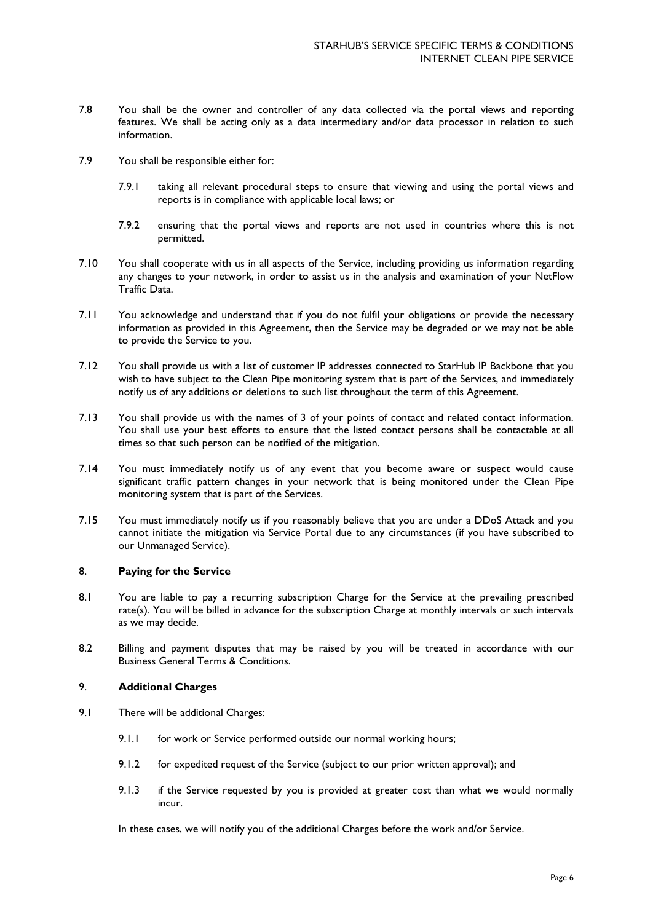- 7.8 You shall be the owner and controller of any data collected via the portal views and reporting features. We shall be acting only as a data intermediary and/or data processor in relation to such information.
- 7.9 You shall be responsible either for:
	- 7.9.1 taking all relevant procedural steps to ensure that viewing and using the portal views and reports is in compliance with applicable local laws; or
	- 7.9.2 ensuring that the portal views and reports are not used in countries where this is not permitted.
- 7.10 You shall cooperate with us in all aspects of the Service, including providing us information regarding any changes to your network, in order to assist us in the analysis and examination of your NetFlow Traffic Data.
- 7.11 You acknowledge and understand that if you do not fulfil your obligations or provide the necessary information as provided in this Agreement, then the Service may be degraded or we may not be able to provide the Service to you.
- 7.12 You shall provide us with a list of customer IP addresses connected to StarHub IP Backbone that you wish to have subject to the Clean Pipe monitoring system that is part of the Services, and immediately notify us of any additions or deletions to such list throughout the term of this Agreement.
- 7.13 You shall provide us with the names of 3 of your points of contact and related contact information. You shall use your best efforts to ensure that the listed contact persons shall be contactable at all times so that such person can be notified of the mitigation.
- 7.14 You must immediately notify us of any event that you become aware or suspect would cause significant traffic pattern changes in your network that is being monitored under the Clean Pipe monitoring system that is part of the Services.
- 7.15 You must immediately notify us if you reasonably believe that you are under a DDoS Attack and you cannot initiate the mitigation via Service Portal due to any circumstances (if you have subscribed to our Unmanaged Service).

# 8. **Paying for the Service**

- 8.1 You are liable to pay a recurring subscription Charge for the Service at the prevailing prescribed rate(s). You will be billed in advance for the subscription Charge at monthly intervals or such intervals as we may decide.
- 8.2 Billing and payment disputes that may be raised by you will be treated in accordance with our Business General Terms & Conditions.

### 9. **Additional Charges**

- 9.1 There will be additional Charges:
	- 9.1.1 for work or Service performed outside our normal working hours;
	- 9.1.2 for expedited request of the Service (subject to our prior written approval); and
	- 9.1.3 if the Service requested by you is provided at greater cost than what we would normally incur.

In these cases, we will notify you of the additional Charges before the work and/or Service.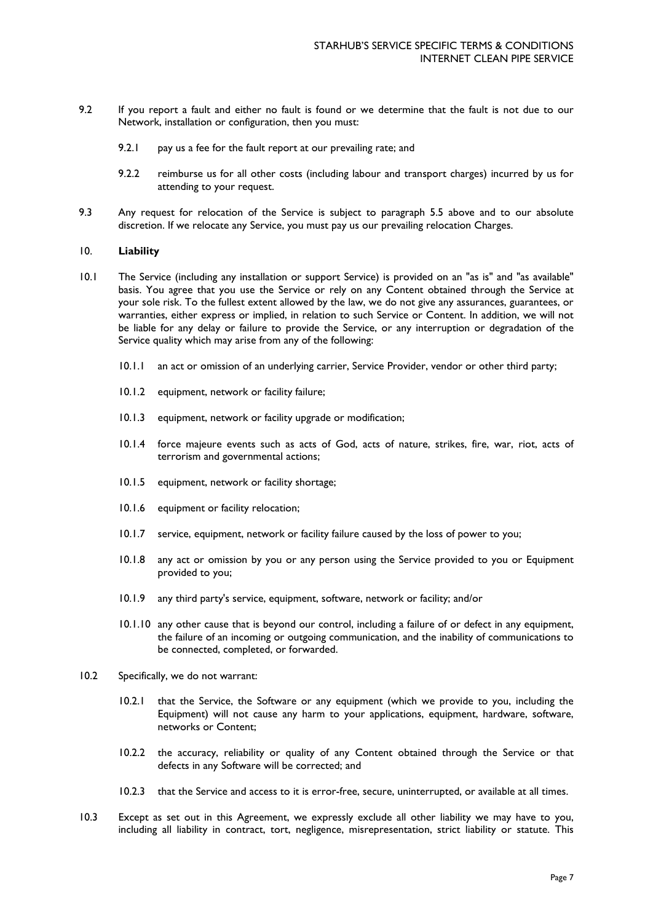- 9.2 If you report a fault and either no fault is found or we determine that the fault is not due to our Network, installation or configuration, then you must:
	- 9.2.1 pay us a fee for the fault report at our prevailing rate; and
	- 9.2.2 reimburse us for all other costs (including labour and transport charges) incurred by us for attending to your request.
- 9.3 Any request for relocation of the Service is subject to paragraph 5.5 above and to our absolute discretion. If we relocate any Service, you must pay us our prevailing relocation Charges.

## 10. **Liability**

- 10.1 The Service (including any installation or support Service) is provided on an "as is" and "as available" basis. You agree that you use the Service or rely on any Content obtained through the Service at your sole risk. To the fullest extent allowed by the law, we do not give any assurances, guarantees, or warranties, either express or implied, in relation to such Service or Content. In addition, we will not be liable for any delay or failure to provide the Service, or any interruption or degradation of the Service quality which may arise from any of the following:
	- 10.1.1 an act or omission of an underlying carrier, Service Provider, vendor or other third party;
	- 10.1.2 equipment, network or facility failure;
	- 10.1.3 equipment, network or facility upgrade or modification;
	- 10.1.4 force majeure events such as acts of God, acts of nature, strikes, fire, war, riot, acts of terrorism and governmental actions;
	- 10.1.5 equipment, network or facility shortage;
	- 10.1.6 equipment or facility relocation;
	- 10.1.7 service, equipment, network or facility failure caused by the loss of power to you;
	- 10.1.8 any act or omission by you or any person using the Service provided to you or Equipment provided to you;
	- 10.1.9 any third party's service, equipment, software, network or facility; and/or
	- 10.1.10 any other cause that is beyond our control, including a failure of or defect in any equipment, the failure of an incoming or outgoing communication, and the inability of communications to be connected, completed, or forwarded.
- 10.2 Specifically, we do not warrant:
	- 10.2.1 that the Service, the Software or any equipment (which we provide to you, including the Equipment) will not cause any harm to your applications, equipment, hardware, software, networks or Content;
	- 10.2.2 the accuracy, reliability or quality of any Content obtained through the Service or that defects in any Software will be corrected; and
	- 10.2.3 that the Service and access to it is error-free, secure, uninterrupted, or available at all times.
- 10.3 Except as set out in this Agreement, we expressly exclude all other liability we may have to you, including all liability in contract, tort, negligence, misrepresentation, strict liability or statute. This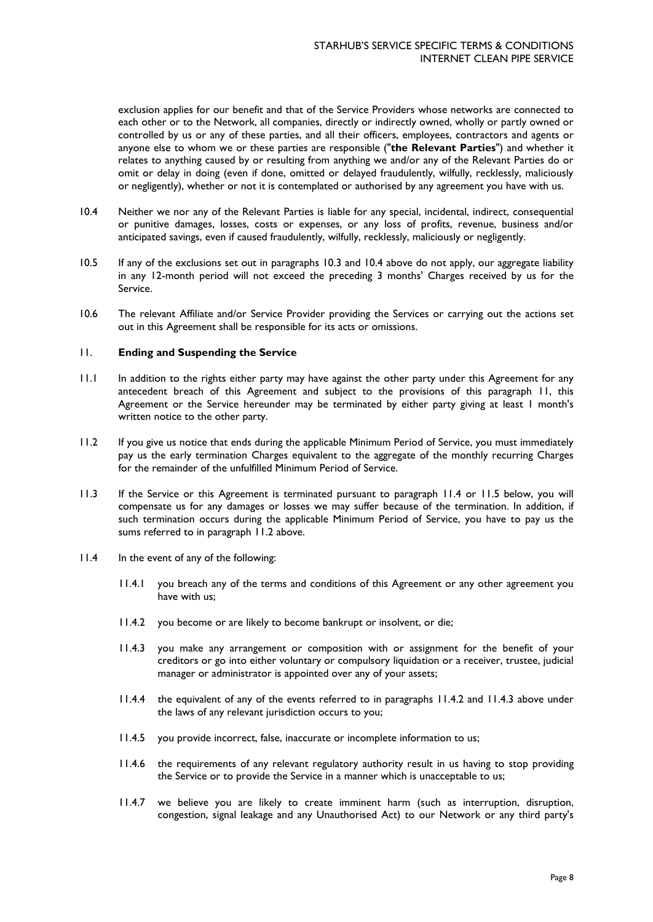exclusion applies for our benefit and that of the Service Providers whose networks are connected to each other or to the Network, all companies, directly or indirectly owned, wholly or partly owned or controlled by us or any of these parties, and all their officers, employees, contractors and agents or anyone else to whom we or these parties are responsible ("**the Relevant Parties**") and whether it relates to anything caused by or resulting from anything we and/or any of the Relevant Parties do or omit or delay in doing (even if done, omitted or delayed fraudulently, wilfully, recklessly, maliciously or negligently), whether or not it is contemplated or authorised by any agreement you have with us.

- 10.4 Neither we nor any of the Relevant Parties is liable for any special, incidental, indirect, consequential or punitive damages, losses, costs or expenses, or any loss of profits, revenue, business and/or anticipated savings, even if caused fraudulently, wilfully, recklessly, maliciously or negligently.
- 10.5 If any of the exclusions set out in paragraphs 10.3 and 10.4 above do not apply, our aggregate liability in any 12-month period will not exceed the preceding 3 months' Charges received by us for the Service.
- 10.6 The relevant Affiliate and/or Service Provider providing the Services or carrying out the actions set out in this Agreement shall be responsible for its acts or omissions.

# 11. **Ending and Suspending the Service**

- 11.1 In addition to the rights either party may have against the other party under this Agreement for any antecedent breach of this Agreement and subject to the provisions of this paragraph 11, this Agreement or the Service hereunder may be terminated by either party giving at least 1 month's written notice to the other party.
- 11.2 If you give us notice that ends during the applicable Minimum Period of Service, you must immediately pay us the early termination Charges equivalent to the aggregate of the monthly recurring Charges for the remainder of the unfulfilled Minimum Period of Service.
- 11.3 If the Service or this Agreement is terminated pursuant to paragraph 11.4 or 11.5 below, you will compensate us for any damages or losses we may suffer because of the termination. In addition, if such termination occurs during the applicable Minimum Period of Service, you have to pay us the sums referred to in paragraph 11.2 above.
- 11.4 In the event of any of the following:
	- 11.4.1 you breach any of the terms and conditions of this Agreement or any other agreement you have with us;
	- 11.4.2 you become or are likely to become bankrupt or insolvent, or die;
	- 11.4.3 you make any arrangement or composition with or assignment for the benefit of your creditors or go into either voluntary or compulsory liquidation or a receiver, trustee, judicial manager or administrator is appointed over any of your assets;
	- 11.4.4 the equivalent of any of the events referred to in paragraphs 11.4.2 and 11.4.3 above under the laws of any relevant jurisdiction occurs to you;
	- 11.4.5 you provide incorrect, false, inaccurate or incomplete information to us;
	- 11.4.6 the requirements of any relevant regulatory authority result in us having to stop providing the Service or to provide the Service in a manner which is unacceptable to us;
	- 11.4.7 we believe you are likely to create imminent harm (such as interruption, disruption, congestion, signal leakage and any Unauthorised Act) to our Network or any third party's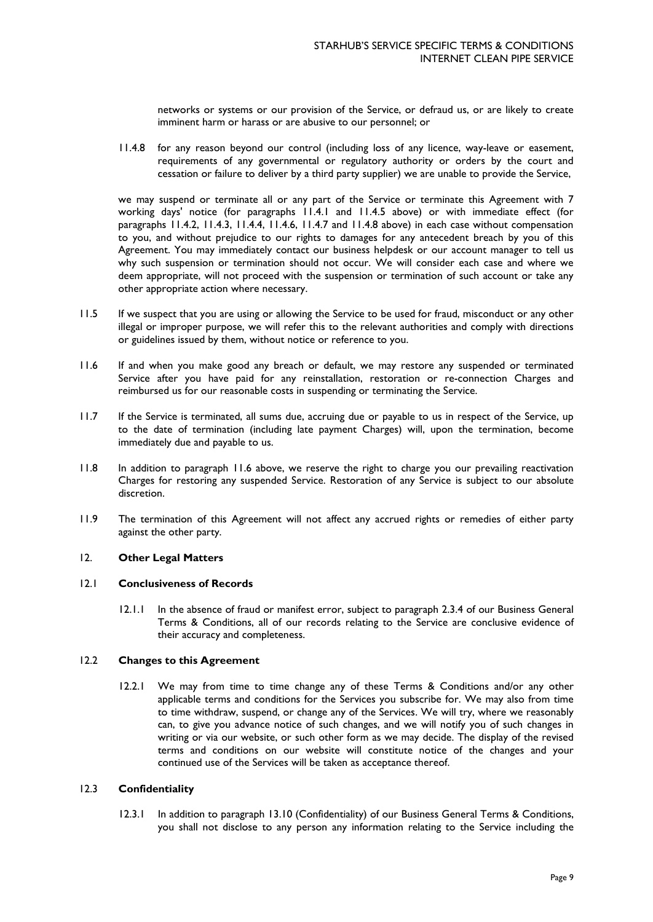networks or systems or our provision of the Service, or defraud us, or are likely to create imminent harm or harass or are abusive to our personnel; or

11.4.8 for any reason beyond our control (including loss of any licence, way-leave or easement, requirements of any governmental or regulatory authority or orders by the court and cessation or failure to deliver by a third party supplier) we are unable to provide the Service,

we may suspend or terminate all or any part of the Service or terminate this Agreement with 7 working days' notice (for paragraphs 11.4.1 and 11.4.5 above) or with immediate effect (for paragraphs 11.4.2, 11.4.3, 11.4.4, 11.4.6, 11.4.7 and 11.4.8 above) in each case without compensation to you, and without prejudice to our rights to damages for any antecedent breach by you of this Agreement. You may immediately contact our business helpdesk or our account manager to tell us why such suspension or termination should not occur. We will consider each case and where we deem appropriate, will not proceed with the suspension or termination of such account or take any other appropriate action where necessary.

- 11.5 If we suspect that you are using or allowing the Service to be used for fraud, misconduct or any other illegal or improper purpose, we will refer this to the relevant authorities and comply with directions or guidelines issued by them, without notice or reference to you.
- 11.6 If and when you make good any breach or default, we may restore any suspended or terminated Service after you have paid for any reinstallation, restoration or re-connection Charges and reimbursed us for our reasonable costs in suspending or terminating the Service.
- 11.7 If the Service is terminated, all sums due, accruing due or payable to us in respect of the Service, up to the date of termination (including late payment Charges) will, upon the termination, become immediately due and payable to us.
- 11.8 In addition to paragraph 11.6 above, we reserve the right to charge you our prevailing reactivation Charges for restoring any suspended Service. Restoration of any Service is subject to our absolute discretion.
- 11.9 The termination of this Agreement will not affect any accrued rights or remedies of either party against the other party.

# 12. **Other Legal Matters**

## 12.1 **Conclusiveness of Records**

12.1.1 In the absence of fraud or manifest error, subject to paragraph 2.3.4 of our Business General Terms & Conditions, all of our records relating to the Service are conclusive evidence of their accuracy and completeness.

#### 12.2 **Changes to this Agreement**

12.2.1 We may from time to time change any of these Terms & Conditions and/or any other applicable terms and conditions for the Services you subscribe for. We may also from time to time withdraw, suspend, or change any of the Services. We will try, where we reasonably can, to give you advance notice of such changes, and we will notify you of such changes in writing or via our website, or such other form as we may decide. The display of the revised terms and conditions on our website will constitute notice of the changes and your continued use of the Services will be taken as acceptance thereof.

### 12.3 **Confidentiality**

12.3.1 In addition to paragraph 13.10 (Confidentiality) of our Business General Terms & Conditions, you shall not disclose to any person any information relating to the Service including the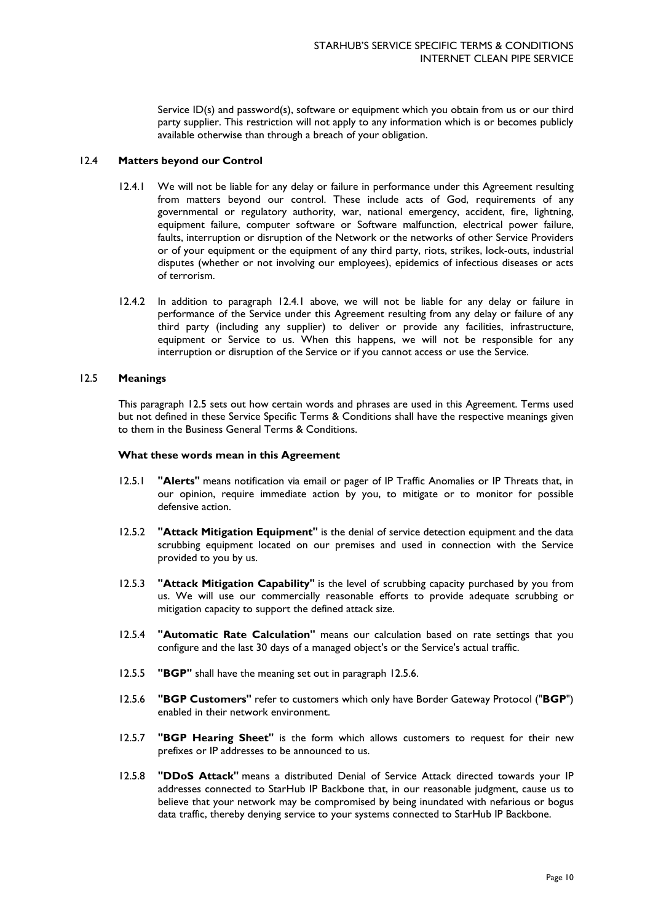Service ID(s) and password(s), software or equipment which you obtain from us or our third party supplier. This restriction will not apply to any information which is or becomes publicly available otherwise than through a breach of your obligation.

## 12.4 **Matters beyond our Control**

- 12.4.1 We will not be liable for any delay or failure in performance under this Agreement resulting from matters beyond our control. These include acts of God, requirements of any governmental or regulatory authority, war, national emergency, accident, fire, lightning, equipment failure, computer software or Software malfunction, electrical power failure, faults, interruption or disruption of the Network or the networks of other Service Providers or of your equipment or the equipment of any third party, riots, strikes, lock-outs, industrial disputes (whether or not involving our employees), epidemics of infectious diseases or acts of terrorism.
- 12.4.2 In addition to paragraph 12.4.1 above, we will not be liable for any delay or failure in performance of the Service under this Agreement resulting from any delay or failure of any third party (including any supplier) to deliver or provide any facilities, infrastructure, equipment or Service to us. When this happens, we will not be responsible for any interruption or disruption of the Service or if you cannot access or use the Service.

## 12.5 **Meanings**

This paragraph 12.5 sets out how certain words and phrases are used in this Agreement. Terms used but not defined in these Service Specific Terms & Conditions shall have the respective meanings given to them in the Business General Terms & Conditions.

### **What these words mean in this Agreement**

- 12.5.1 **"Alerts"** means notification via email or pager of IP Traffic Anomalies or IP Threats that, in our opinion, require immediate action by you, to mitigate or to monitor for possible defensive action.
- 12.5.2 **"Attack Mitigation Equipment"** is the denial of service detection equipment and the data scrubbing equipment located on our premises and used in connection with the Service provided to you by us.
- 12.5.3 **"Attack Mitigation Capability"** is the level of scrubbing capacity purchased by you from us. We will use our commercially reasonable efforts to provide adequate scrubbing or mitigation capacity to support the defined attack size.
- 12.5.4 **"Automatic Rate Calculation"** means our calculation based on rate settings that you configure and the last 30 days of a managed object's or the Service's actual traffic.
- 12.5.5 **"BGP"** shall have the meaning set out in paragraph 12.5.6.
- 12.5.6 **"BGP Customers"** refer to customers which only have Border Gateway Protocol ("**BGP**") enabled in their network environment.
- 12.5.7 **"BGP Hearing Sheet"** is the form which allows customers to request for their new prefixes or IP addresses to be announced to us.
- 12.5.8 **"DDoS Attack"** means a distributed Denial of Service Attack directed towards your IP addresses connected to StarHub IP Backbone that, in our reasonable judgment, cause us to believe that your network may be compromised by being inundated with nefarious or bogus data traffic, thereby denying service to your systems connected to StarHub IP Backbone.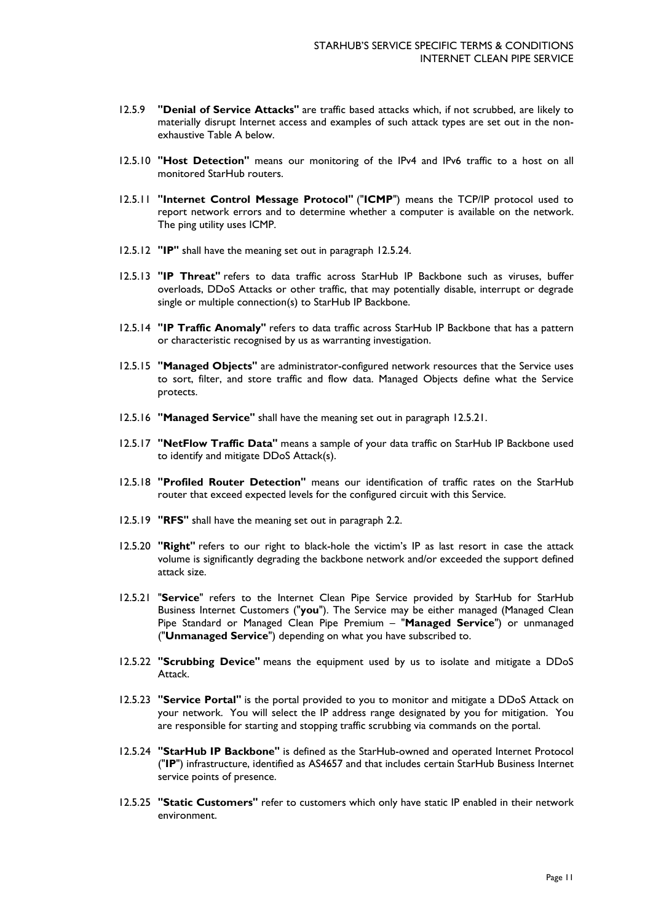- 12.5.9 **"Denial of Service Attacks"** are traffic based attacks which, if not scrubbed, are likely to materially disrupt Internet access and examples of such attack types are set out in the nonexhaustive Table A below.
- 12.5.10 **"Host Detection"** means our monitoring of the IPv4 and IPv6 traffic to a host on all monitored StarHub routers.
- 12.5.11 **"Internet Control Message Protocol"** ("**ICMP**") means the TCP/IP protocol used to report network errors and to determine whether a computer is available on the network. The ping utility uses ICMP.
- 12.5.12 **"IP"** shall have the meaning set out in paragraph 12.5.24.
- 12.5.13 **"IP Threat"** refers to data traffic across StarHub IP Backbone such as viruses, buffer overloads, DDoS Attacks or other traffic, that may potentially disable, interrupt or degrade single or multiple connection(s) to StarHub IP Backbone.
- 12.5.14 **"IP Traffic Anomaly"** refers to data traffic across StarHub IP Backbone that has a pattern or characteristic recognised by us as warranting investigation.
- 12.5.15 **"Managed Objects"** are administrator-configured network resources that the Service uses to sort, filter, and store traffic and flow data. Managed Objects define what the Service protects.
- 12.5.16 **"Managed Service"** shall have the meaning set out in paragraph 12.5.21.
- 12.5.17 **"NetFlow Traffic Data"** means a sample of your data traffic on StarHub IP Backbone used to identify and mitigate DDoS Attack(s).
- 12.5.18 **"Profiled Router Detection"** means our identification of traffic rates on the StarHub router that exceed expected levels for the configured circuit with this Service.
- 12.5.19 **"RFS"** shall have the meaning set out in paragraph 2.2.
- 12.5.20 **"Right"** refers to our right to black-hole the victim's IP as last resort in case the attack volume is significantly degrading the backbone network and/or exceeded the support defined attack size.
- 12.5.21 "**Service**" refers to the Internet Clean Pipe Service provided by StarHub for StarHub Business Internet Customers ("**you**"). The Service may be either managed (Managed Clean Pipe Standard or Managed Clean Pipe Premium – "**Managed Service**") or unmanaged ("**Unmanaged Service**") depending on what you have subscribed to.
- 12.5.22 **"Scrubbing Device"** means the equipment used by us to isolate and mitigate a DDoS Attack.
- 12.5.23 **"Service Portal"** is the portal provided to you to monitor and mitigate a DDoS Attack on your network. You will select the IP address range designated by you for mitigation. You are responsible for starting and stopping traffic scrubbing via commands on the portal.
- 12.5.24 **"StarHub IP Backbone"** is defined as the StarHub-owned and operated Internet Protocol ("**IP**") infrastructure, identified as AS4657 and that includes certain StarHub Business Internet service points of presence.
- 12.5.25 **"Static Customers"** refer to customers which only have static IP enabled in their network environment.